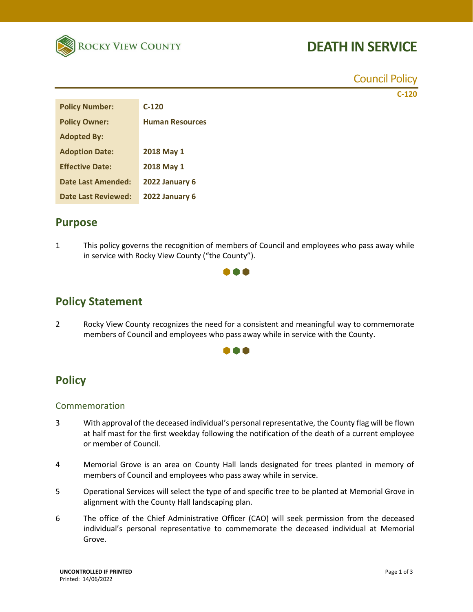

# **DEATH IN SERVICE**

Council Policy

**C-120**

| <b>Policy Number:</b>      | $C-120$                |
|----------------------------|------------------------|
| <b>Policy Owner:</b>       | <b>Human Resources</b> |
| <b>Adopted By:</b>         |                        |
| <b>Adoption Date:</b>      | 2018 May 1             |
| <b>Effective Date:</b>     | 2018 May 1             |
| Date Last Amended:         | 2022 January 6         |
| <b>Date Last Reviewed:</b> | 2022 January 6         |
|                            |                        |

### **Purpose**

1 This policy governs the recognition of members of Council and employees who pass away while in service with Rocky View County ("the County").



## **Policy Statement**

2 Rocky View County recognizes the need for a consistent and meaningful way to commemorate members of Council and employees who pass away while in service with the County.



### **Policy**

#### Commemoration

- 3 With approval of the deceased individual's personal representative, the County flag will be flown at half mast for the first weekday following the notification of the death of a current employee or member of Council.
- 4 Memorial Grove is an area on County Hall lands designated for trees planted in memory of members of Council and employees who pass away while in service.
- 5 Operational Services will select the type of and specific tree to be planted at Memorial Grove in alignment with the County Hall landscaping plan.
- 6 The office of the Chief Administrative Officer (CAO) will seek permission from the deceased individual's personal representative to commemorate the deceased individual at Memorial Grove.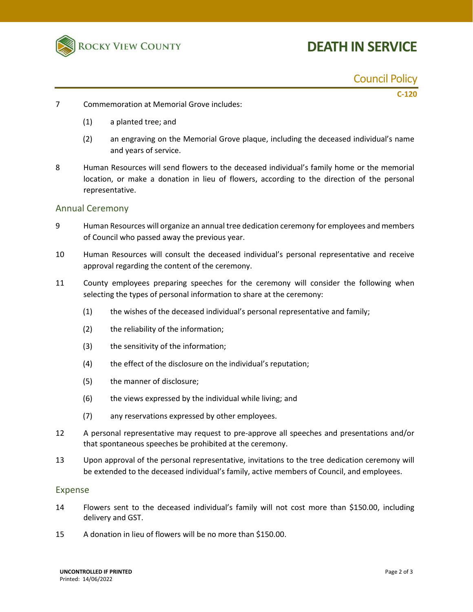

# **DEATH IN SERVICE**

Council Policy

**C-120**

- 7 Commemoration at Memorial Grove includes:
	- (1) a planted tree; and
	- (2) an engraving on the Memorial Grove plaque, including the deceased individual's name and years of service.
- 8 Human Resources will send flowers to the deceased individual's family home or the memorial location, or make a donation in lieu of flowers, according to the direction of the personal representative.

#### Annual Ceremony

- 9 Human Resources will organize an annual tree dedication ceremony for employees and members of Council who passed away the previous year.
- 10 Human Resources will consult the deceased individual's personal representative and receive approval regarding the content of the ceremony.
- 11 County employees preparing speeches for the ceremony will consider the following when selecting the types of personal information to share at the ceremony:
	- (1) the wishes of the deceased individual's personal representative and family;
	- (2) the reliability of the information;
	- (3) the sensitivity of the information;
	- (4) the effect of the disclosure on the individual's reputation;
	- (5) the manner of disclosure;
	- (6) the views expressed by the individual while living; and
	- (7) any reservations expressed by other employees.
- 12 A personal representative may request to pre-approve all speeches and presentations and/or that spontaneous speeches be prohibited at the ceremony.
- 13 Upon approval of the personal representative, invitations to the tree dedication ceremony will be extended to the deceased individual's family, active members of Council, and employees.

#### Expense

- 14 Flowers sent to the deceased individual's family will not cost more than \$150.00, including delivery and GST.
- 15 A donation in lieu of flowers will be no more than \$150.00.